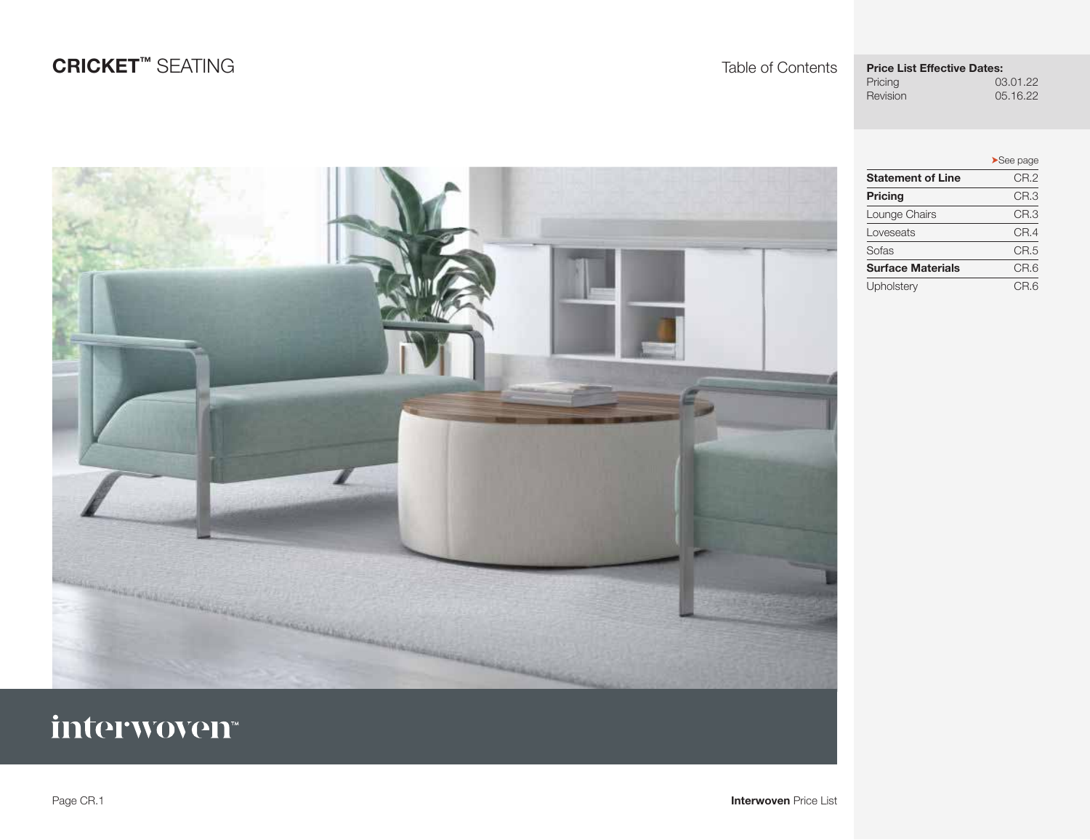## **Price List Effective Dates:**<br>Pricing 03

<span id="page-0-0"></span>

Pricing 03.01.22<br>Revision 05.16.22 05.16.22

|                          | $\blacktriangleright$ See page |
|--------------------------|--------------------------------|
| <b>Statement of Line</b> | CR.2                           |
| <b>Pricing</b>           | CR.3                           |
| Lounge Chairs            | CR.3                           |
| Loveseats                | CR.4                           |
| Sofas                    | CR.5                           |
| <b>Surface Materials</b> | CR.6                           |
| Upholstery               | CR.6                           |



# interwoven<sup>®</sup>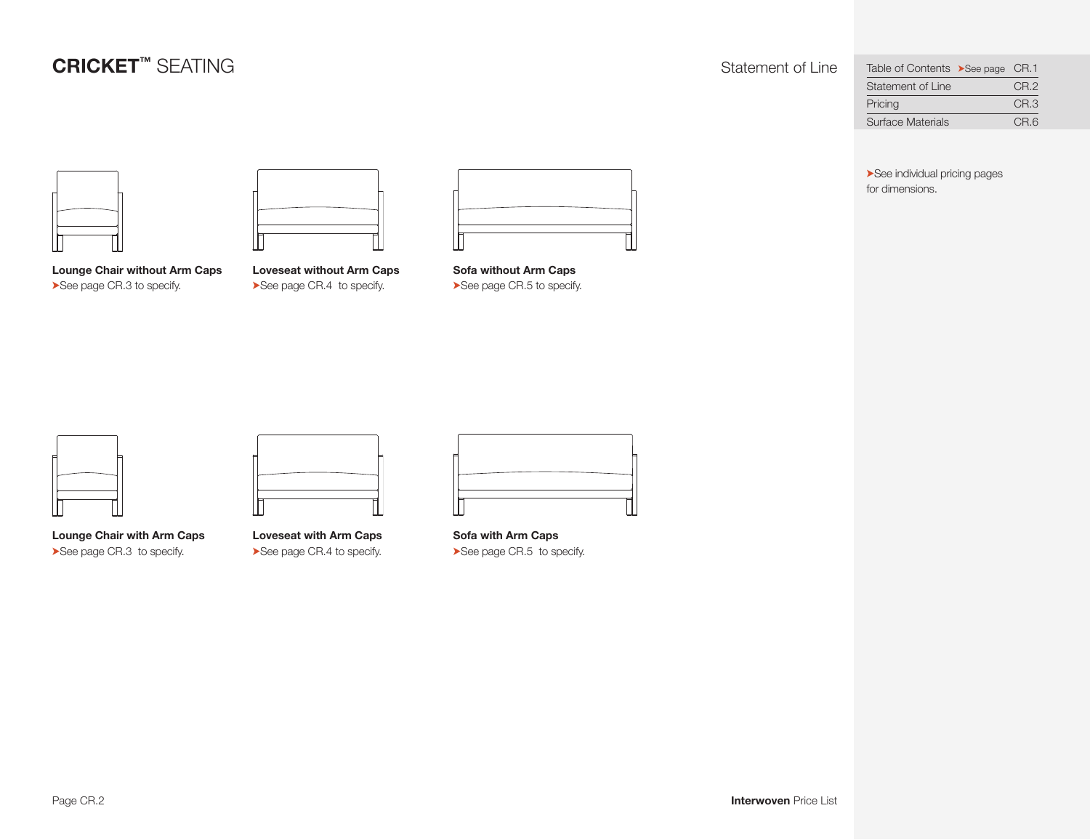<span id="page-1-0"></span>

| Table of Contents >See page CR.1 |                 |
|----------------------------------|-----------------|
| Statement of Line                | CR <sub>2</sub> |
| Pricing                          | CR <sub>3</sub> |
| Surface Materials                | CR.6            |



**Lounge Chair without Arm Caps**  ➤See page [CR.3](#page-2-0) to specify.

**Loveseat without Arm Caps**  ➤See page [CR.4](#page-3-0) to specify.

**Sofa without Arm Caps**  ➤See page [CR.5](#page-4-0) to specify. ➤See individual pricing pages for dimensions.



**Lounge Chair with Arm Caps**  ➤See page [CR.3](#page-2-0) to specify.

**Loveseat with Arm Caps**  ➤See page [CR.4](#page-3-0) to specify.

**Sofa with Arm Caps**  ➤See page [CR.5](#page-4-0) to specify.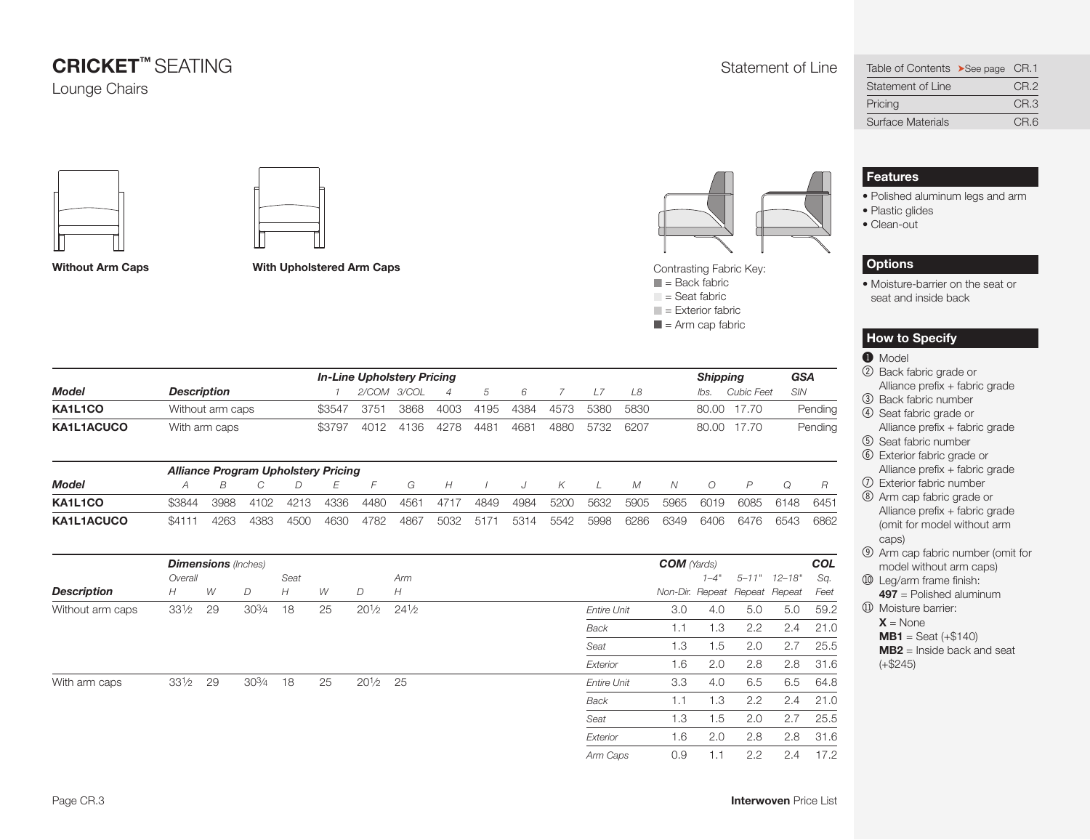### **CRICKET™ SEATING** STATION STATEMENT SEATING STATEMENT STATEMENT STATEMENT STATEMENT STATEMENT STATEMENT STATEMENT OF Line Lounge Chairs

<span id="page-2-0"></span>

| Table of Contents >See page CR.1 |                 |
|----------------------------------|-----------------|
| Statement of Line                | CR <sub>2</sub> |
| Pricing                          | CR <sub>3</sub> |
| Surface Materials                | CR.6            |





**Without Arm Caps**

**With Upholstered Arm Caps**



Contrasting Fabric Key:

- $\blacksquare$  = Back fabric  $\Box$  = Seat fabric
- $\blacksquare$  = Exterior fabric
- 
- $\blacksquare$  = Arm cap fabric

|                   | <b>In-Line Upholstery Pricing</b> |                                            |      |      |        |             |      |      |      |         |      |      |      |      | <b>Shipping</b> |                |            | <b>GSA</b> |
|-------------------|-----------------------------------|--------------------------------------------|------|------|--------|-------------|------|------|------|---------|------|------|------|------|-----------------|----------------|------------|------------|
| <b>Model</b>      | <b>Description</b>                |                                            |      |      |        | 2/COM 3/COL |      | 4    | 5    | 6       |      | 17   | L8   |      | lbs.            | Cubic Feet     | <b>SIN</b> |            |
| KA1L1CO           |                                   | Without arm caps                           |      |      | \$3547 | 3751        | 3868 | 4003 | 4195 | 4384    | 4573 | 5380 | 5830 |      | 80.00           | 17.70          |            | Pending    |
| KA1L1ACUCO        |                                   | With arm caps                              |      |      | \$3797 | 4012        | 4136 | 4278 | 4481 | 4681    | 4880 | 5732 | 6207 |      | 80.00           | 17.70          |            | Pending    |
|                   |                                   | <b>Alliance Program Upholstery Pricing</b> |      |      |        |             |      |      |      |         |      |      |      |      |                 |                |            |            |
| <b>Model</b>      | Α                                 | B                                          |      | D    | F      | F           | G    | H    |      | $\cdot$ | К    |      | М    | N    | $\Omega$        | $\overline{P}$ |            | R          |
| KA1L1CO           | \$3844                            | 3988                                       | 4102 | 4213 | 4336   | 4480        | 4561 | 4717 | 4849 | 4984    | 5200 | 5632 | 5905 | 5965 | 6019            | 6085           | 6148       | 6451       |
| <b>KA1L1ACUCO</b> | \$4111                            | 4263                                       | 4383 | 4500 | 4630   | 4782        | 4867 | 5032 | 5171 | 5314    | 5542 | 5998 | 6286 | 6349 | 6406            | 6476           | 6543       | 6862       |

|                    |                 |    | <b>Dimensions</b> (Inches) |      |    |                    |                 |                    | <b>COM</b> (Yards)            |          |     |                      | COL  |
|--------------------|-----------------|----|----------------------------|------|----|--------------------|-----------------|--------------------|-------------------------------|----------|-----|----------------------|------|
|                    | Overall         |    |                            | Seat |    |                    | Arm             |                    |                               | $1 - 4"$ |     | $5 - 11"$ $12 - 18"$ | Sq.  |
| <b>Description</b> | H               | W  | D                          | H    | W  | D                  | H               |                    | Non-Dir. Repeat Repeat Repeat |          |     |                      | Feet |
| Without arm caps   | $33\frac{1}{2}$ | 29 | 303/4                      | 18   | 25 | $20\frac{1}{2}$    | $24\frac{1}{2}$ | <b>Entire Unit</b> | 3.0                           | 4.0      | 5.0 | 5.0                  | 59.2 |
|                    |                 |    |                            |      |    |                    |                 | <b>Back</b>        | 1.1                           | 1.3      | 2.2 | 2.4                  | 21.0 |
|                    |                 |    |                            |      |    |                    |                 | Seat               | 1.3                           | 1.5      | 2.0 | 2.7                  | 25.5 |
|                    |                 |    |                            |      |    |                    |                 | Exterior           | 1.6                           | 2.0      | 2.8 | 2.8                  | 31.6 |
| With arm caps      | $33\frac{1}{2}$ | 29 | 30¾                        | 18   | 25 | $20\frac{1}{2}$ 25 |                 | <b>Entire Unit</b> | 3.3                           | 4.0      | 6.5 | 6.5                  | 64.8 |
|                    |                 |    |                            |      |    |                    |                 | Back               | 1.1                           | 1.3      | 2.2 | 2.4                  | 21.0 |
|                    |                 |    |                            |      |    |                    |                 | Seat               | 1.3                           | 1.5      | 2.0 | 2.7                  | 25.5 |
|                    |                 |    |                            |      |    |                    |                 | Exterior           | 1.6                           | 2.0      | 2.8 | 2.8                  | 31.6 |
|                    |                 |    |                            |      |    |                    |                 | Arm Caps           | 0.9                           | 1.1      | 2.2 | 2.4                  | 17.2 |

## **Features**

- Polished aluminum legs and arm
- Plastic glides
- Clean-out

### **Options**

• Moisture-barrier on the seat or seat and inside back

### **How to Specify**

#### **1** Model

- 2 Back fabric grade or Alliance prefix + fabric grade
- 3 Back fabric number
- 4 Seat fabric grade or Alliance prefix + fabric grade
- 5 Seat fabric number
- 6 Exterior fabric grade or Alliance prefix + fabric grade
- 7 Exterior fabric number
- 8 Arm cap fabric grade or
- Alliance prefix + fabric grade (omit for model without arm caps)
- 9 Arm cap fabric number (omit for model without arm caps)
- **10 Leg/arm frame finish: 497** = Polished aluminum
- **11** Moisture barrier:  $X = \text{None}$
- $MB1 =$  Seat  $(+\$140)$

**MB2** = Inside back and seat  $(+\$245)$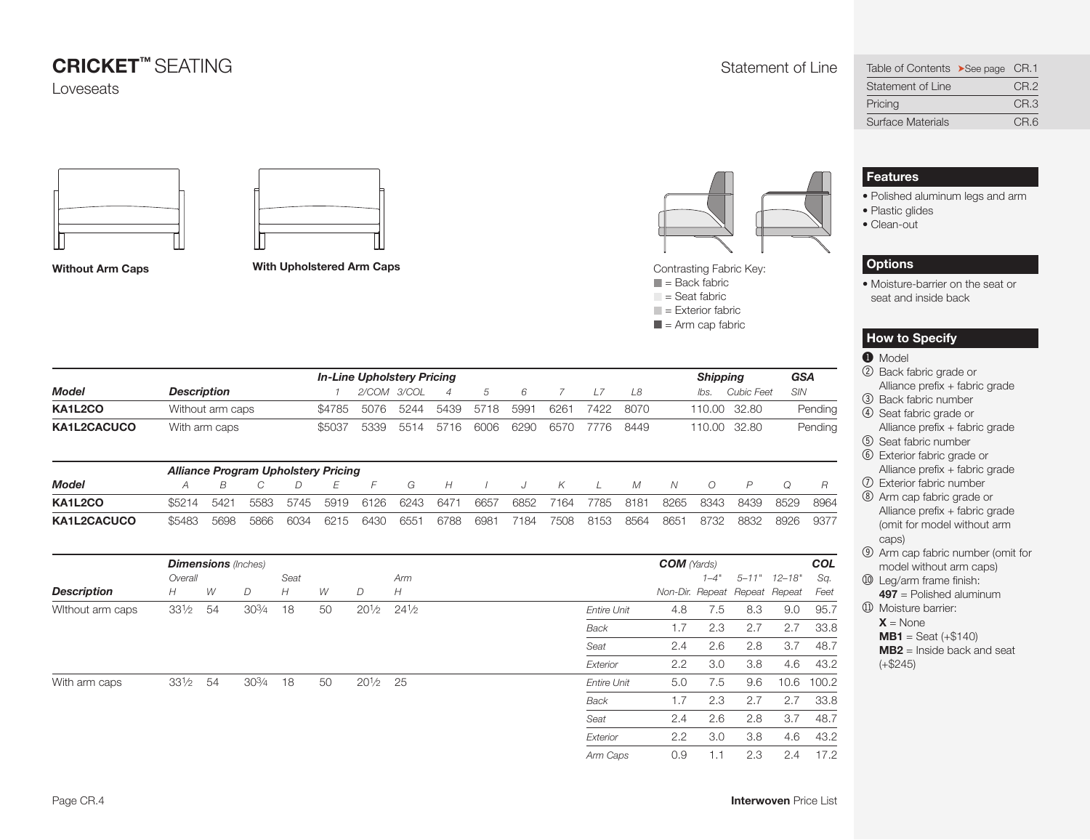## **CRICKET™ SEATING** STATION STATEMENT SEATING STATEMENT STATEMENT STATEMENT STATEMENT STATEMENT STATEMENT STATEMENT OF Line

Loveseats





**Without Arm Caps With Upholstered Arm Caps** 



Contrasting Fabric Key:

- $\blacksquare$  = Back fabric  $\Box$  = Seat fabric
- $\blacksquare$  = Exterior fabric
- 
- $\blacksquare$  = Arm cap fabric

|              |                    |                  |                                            |      |        | <b>In-Line Upholstery Pricing</b> |      |                |      |      |      |      |      |      |          | <b>Shipping</b> |            |         |  |
|--------------|--------------------|------------------|--------------------------------------------|------|--------|-----------------------------------|------|----------------|------|------|------|------|------|------|----------|-----------------|------------|---------|--|
| <b>Model</b> | <b>Description</b> |                  |                                            |      |        | 2/COM 3/COL                       |      | $\overline{A}$ | 5    | 6    |      |      | L8   |      | lbs.     | Cubic Feet      | <b>SIN</b> |         |  |
| KA1L2CO      |                    | Without arm caps |                                            |      | \$4785 | 5076                              | 5244 | 5439           | 5718 | 5991 | 6261 | 7422 | 8070 |      |          | 110.00 32.80    |            | Pending |  |
| KA1L2CACUCO  | With arm caps      |                  |                                            |      | \$5037 | 5339                              | 5514 | 5716           | 6006 | 6290 | 6570 | 7776 | 8449 |      | 110.00   | 32.80           |            | Pending |  |
|              |                    |                  | <b>Alliance Program Upholstery Pricing</b> |      |        |                                   |      |                |      |      |      |      |      |      |          |                 |            |         |  |
| <b>Model</b> | Α                  | B                |                                            | D    | F      | F                                 | G    | H              |      |      | Κ    |      | М    | N    | $\Omega$ | $\overline{P}$  |            | R       |  |
| KA1L2CO      | \$5214             | 5421             | 5583                                       | 5745 | 5919   | 6126                              | 6243 | 6471           | 6657 | 6852 | 7164 | 7785 | 8181 | 8265 | 8343     | 8439            | 8529       | 8964    |  |
| KA1L2CACUCO  | \$5483             | 5698             | 5866                                       | 6034 | 6215   | 6430                              | 6551 | 6788           | 6981 | 7184 | 7508 | 8153 | 8564 | 8651 | 8732     | 8832            | 8926       | 9377    |  |

|                    |                 |    | <b>Dimensions</b> (Inches) |      |    |                    |                 |                    | <b>COM</b> (Yards)            |          |     |                      | COL   |
|--------------------|-----------------|----|----------------------------|------|----|--------------------|-----------------|--------------------|-------------------------------|----------|-----|----------------------|-------|
|                    | Overall         |    |                            | Seat |    |                    | Arm             |                    |                               | $1 - 4"$ |     | $5 - 11"$ $12 - 18"$ | Sq.   |
| <b>Description</b> | H               | W  | D                          | H    | W  | D                  | H               |                    | Non-Dir. Repeat Repeat Repeat |          |     |                      | Feet  |
| Without arm caps   | $33\frac{1}{2}$ | 54 | $30\frac{3}{4}$            | 18   | 50 | $20\frac{1}{2}$    | $24\frac{1}{2}$ | <b>Entire Unit</b> | 4.8                           | 7.5      | 8.3 | 9.0                  | 95.7  |
|                    |                 |    |                            |      |    |                    |                 | <b>Back</b>        | 1.7                           | 2.3      | 2.7 | 2.7                  | 33.8  |
|                    |                 |    |                            |      |    |                    |                 | Seat               | 2.4                           | 2.6      | 2.8 | 3.7                  | 48.7  |
|                    |                 |    |                            |      |    |                    |                 | Exterior           | 2.2                           | 3.0      | 3.8 | 4.6                  | 43.2  |
| With arm caps      | 33½             | 54 | 303/4                      | 18   | 50 | $20\frac{1}{2}$ 25 |                 | <b>Entire Unit</b> | 5.0                           | 7.5      | 9.6 | 10.6                 | 100.2 |
|                    |                 |    |                            |      |    |                    |                 | Back               | 1.7                           | 2.3      | 2.7 | 2.7                  | 33.8  |
|                    |                 |    |                            |      |    |                    |                 | Seat               | 2.4                           | 2.6      | 2.8 | 3.7                  | 48.7  |
|                    |                 |    |                            |      |    |                    |                 | Exterior           | 2.2                           | 3.0      | 3.8 | 4.6                  | 43.2  |
|                    |                 |    |                            |      |    |                    |                 | Arm Caps           | 0.9                           | 1.1      | 2.3 | 2.4                  | 17.2  |

<span id="page-3-0"></span>

| Table of Contents >See page CR.1 |                 |
|----------------------------------|-----------------|
| Statement of Line                | CR <sub>2</sub> |
| Pricing                          | CR <sub>3</sub> |
| <b>Surface Materials</b>         | CR.6            |

### **Features**

- Polished aluminum legs and arm
- Plastic glides
- Clean-out

### **Options**

• Moisture-barrier on the seat or seat and inside back

#### **How to Specify**

#### **1** Model

- 2 Back fabric grade or Alliance prefix + fabric grade
- 3 Back fabric number
- 4 Seat fabric grade or Alliance prefix + fabric grade
- 5 Seat fabric number
- 6 Exterior fabric grade or Alliance prefix + fabric grade
- 7 Exterior fabric number
- 8 Arm cap fabric grade or Alliance prefix + fabric grade (omit for model without arm caps)
- 9 Arm cap fabric number (omit for model without arm caps)
- **10 Leg/arm frame finish: 497** = Polished aluminum
- **11** Moisture barrier:  $X = \text{None}$
- $MB1 =$  Seat  $(+\$140)$

**MB2** = Inside back and seat  $(+\$245)$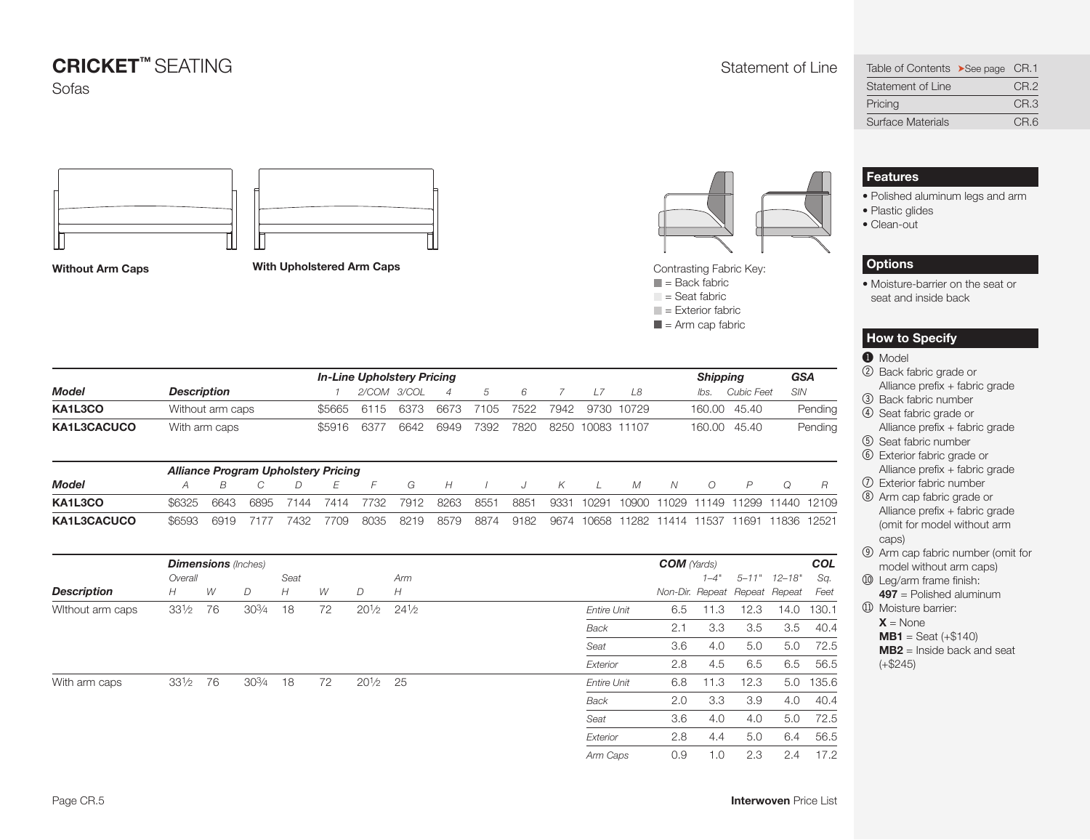

**Without Arm Caps With Upholstered Arm Caps** 



Contrasting Fabric Key:

- $\blacksquare$  = Back fabric  $\Box$  = Seat fabric
- $\blacksquare$  = Exterior fabric
- 
- $\blacksquare$  = Arm cap fabric

|              |                                            |      |      |      | <b>In-Line Upholstery Pricing</b> |       |         |                |      |      |                  |       |            |       | <b>Shipping</b> | <b>GSA</b>     |             |                |
|--------------|--------------------------------------------|------|------|------|-----------------------------------|-------|---------|----------------|------|------|------------------|-------|------------|-------|-----------------|----------------|-------------|----------------|
| Model        | <b>Description</b>                         |      |      |      |                                   | 2/COM | - 3/COL | $\overline{A}$ | 5    | 6    |                  | L7    | L8         |       | lbs.            | Cubic Feet     | SIN         |                |
| KA1L3CO      | Without arm caps                           |      |      |      | \$5665                            | 6115  | 6373    | 6673           | 7105 | 7522 | 7942             |       | 9730 10729 |       | 160.00          | 45.40          |             | Pending        |
| KA1L3CACUCO  | With arm caps                              |      |      |      | \$5916                            | 6377  | 6642    | 6949           | 7392 | 7820 | 8250             | 10083 | 11107      |       | 160.00          | 45.40          |             | Pending        |
|              | <b>Alliance Program Upholstery Pricing</b> |      |      |      |                                   |       |         |                |      |      |                  |       |            |       |                 |                |             |                |
| <b>Model</b> | А                                          | B    |      | D    | E                                 | F     | G       | H              |      |      | Κ                |       | M          | N     | $\Omega$        | $\overline{P}$ | Ω           | $\overline{R}$ |
| KA1L3CO      | \$6325                                     | 6643 | 6895 | 7144 | 7414                              | 7732  | 7912    | 8263           | 8551 | 8851 | 933 <sup>1</sup> | 10291 | 10900      | 11029 | 11149           | 1299           |             | 11440 12109    |
| KA1L3CACUCO  | \$6593                                     | 6919 | 7177 | 7432 | 7709                              | 8035  | 8219    | 8579           | 8874 | 9182 | 9674             | 10658 | 11282      | 11414 | 11537           | 11691          | 11836 12521 |                |

|                    |                 |    | <b>Dimensions</b> (Inches) |      |    |                    |                 |                    | <b>COM</b> (Yards)            |          |      |                      | <b>COL</b> |  |
|--------------------|-----------------|----|----------------------------|------|----|--------------------|-----------------|--------------------|-------------------------------|----------|------|----------------------|------------|--|
|                    | Overall         |    |                            | Seat |    |                    | Arm             |                    |                               | $1 - 4"$ |      | $5 - 11"$ $12 - 18"$ | Sq.        |  |
| <b>Description</b> | H               | W  | D                          | H    | W  | D                  | H               |                    | Non-Dir. Repeat Repeat Repeat |          |      |                      | Feet       |  |
| Without arm caps   | $33\frac{1}{2}$ | 76 | $30\frac{3}{4}$            | 18   | 72 | $20\frac{1}{2}$    | $24\frac{1}{2}$ | <b>Entire Unit</b> | 6.5                           | 11.3     | 12.3 | 14.0                 | 130.1      |  |
|                    |                 |    |                            |      |    |                    |                 | <b>Back</b>        | 2.1                           | 3.3      | 3.5  | 3.5                  | 40.4       |  |
|                    |                 |    |                            |      |    |                    |                 | Seat               | 3.6                           | 4.0      | 5.0  | 5.0                  | 72.5       |  |
|                    |                 |    |                            |      |    |                    |                 | Exterior           | 2.8                           | 4.5      | 6.5  | 6.5                  | 56.5       |  |
| With arm caps      | $33\frac{1}{2}$ | 76 | $30\frac{3}{4}$            | 18   | 72 | $20\frac{1}{2}$ 25 |                 | <b>Entire Unit</b> | 6.8                           | 11.3     | 12.3 | 5.0                  | 135.6      |  |
|                    |                 |    |                            |      |    |                    |                 | Back               | 2.0                           | 3.3      | 3.9  | 4.0                  | 40.4       |  |
|                    |                 |    |                            |      |    |                    |                 | Seat               | 3.6                           | 4.0      | 4.0  | 5.0                  | 72.5       |  |
|                    |                 |    |                            |      |    |                    |                 | Exterior           | 2.8                           | 4.4      | 5.0  | 6.4                  | 56.5       |  |
|                    |                 |    |                            |      |    |                    |                 | Arm Caps           | 0.9                           | 1.0      | 2.3  | 2.4                  | 17.2       |  |

<span id="page-4-0"></span>

| Table of Contents >See page CR.1 |                 |
|----------------------------------|-----------------|
| Statement of Line                | CR <sub>2</sub> |
| Pricing                          | CR <sub>3</sub> |
| <b>Surface Materials</b>         | CR.6            |

### **Features**

- Polished aluminum legs and arm
- Plastic glides
- Clean-out

### **Options**

• Moisture-barrier on the seat or seat and inside back

#### **How to Specify**

#### $\bullet$  Model

- 2 Back fabric grade or Alliance prefix + fabric grade
- 3 Back fabric number
- 4 Seat fabric grade or Alliance prefix + fabric grade
- 5 Seat fabric number
- 6 Exterior fabric grade or Alliance prefix + fabric grade
- 7 Exterior fabric number
- 8 Arm cap fabric grade or Alliance prefix + fabric grade (omit for model without arm caps)
- 9 Arm cap fabric number (omit for model without arm caps)
- **10 Leg/arm frame finish: 497** = Polished aluminum
- **11** Moisture barrier:  $X = \text{None}$
- $MB1 =$  Seat  $(+\$140)$

**MB2** = Inside back and seat  $(+\$245)$